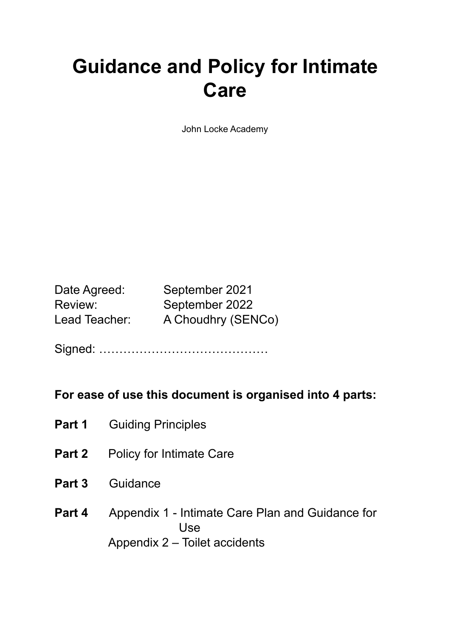# **Guidance and Policy for Intimate Care**

John Locke Academy

| Date Agreed:  | September 2021     |
|---------------|--------------------|
| Review:       | September 2022     |
| Lead Teacher: | A Choudhry (SENCo) |

Signed: ……………………………………

# **For ease of use this document is organised into 4 parts:**

- **Part 1** Guiding Principles
- **Part 2** Policy for Intimate Care
- **Part 3** Guidance
- **Part 4** Appendix 1 Intimate Care Plan and Guidance for Use Appendix 2 – Toilet accidents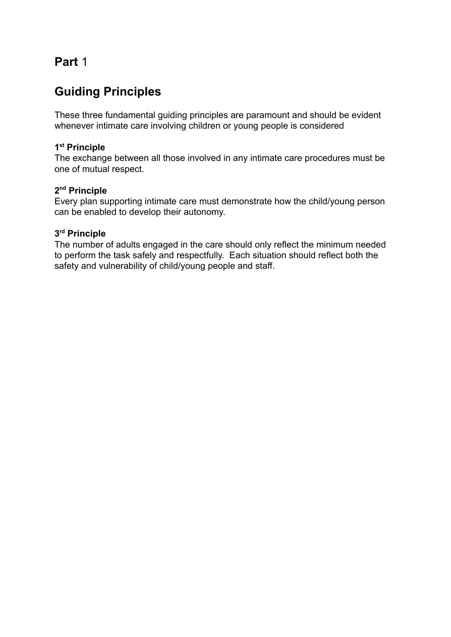# **Part** 1

# **Guiding Principles**

These three fundamental guiding principles are paramount and should be evident whenever intimate care involving children or young people is considered

#### **1 st Principle**

The exchange between all those involved in any intimate care procedures must be one of mutual respect.

#### **2 nd Principle**

Every plan supporting intimate care must demonstrate how the child/young person can be enabled to develop their autonomy.

#### **3 rd Principle**

The number of adults engaged in the care should only reflect the minimum needed to perform the task safely and respectfully. Each situation should reflect both the safety and vulnerability of child/young people and staff.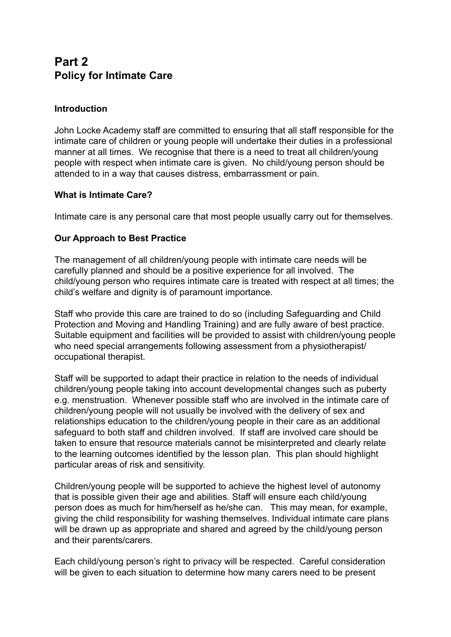# **Part 2 Policy for Intimate Care**

## **Introduction**

John Locke Academy staff are committed to ensuring that all staff responsible for the intimate care of children or young people will undertake their duties in a professional manner at all times. We recognise that there is a need to treat all children/young people with respect when intimate care is given. No child/young person should be attended to in a way that causes distress, embarrassment or pain.

## **What is Intimate Care?**

Intimate care is any personal care that most people usually carry out for themselves.

## **Our Approach to Best Practice**

The management of all children/young people with intimate care needs will be carefully planned and should be a positive experience for all involved. The child/young person who requires intimate care is treated with respect at all times; the child's welfare and dignity is of paramount importance.

Staff who provide this care are trained to do so (including Safeguarding and Child Protection and Moving and Handling Training) and are fully aware of best practice. Suitable equipment and facilities will be provided to assist with children/young people who need special arrangements following assessment from a physiotherapist/ occupational therapist.

Staff will be supported to adapt their practice in relation to the needs of individual children/young people taking into account developmental changes such as puberty e.g. menstruation. Whenever possible staff who are involved in the intimate care of children/young people will not usually be involved with the delivery of sex and relationships education to the children/young people in their care as an additional safeguard to both staff and children involved. If staff are involved care should be taken to ensure that resource materials cannot be misinterpreted and clearly relate to the learning outcomes identified by the lesson plan. This plan should highlight particular areas of risk and sensitivity.

Children/young people will be supported to achieve the highest level of autonomy that is possible given their age and abilities. Staff will ensure each child/young person does as much for him/herself as he/she can. This may mean, for example, giving the child responsibility for washing themselves. Individual intimate care plans will be drawn up as appropriate and shared and agreed by the child/young person and their parents/carers.

Each child/young person's right to privacy will be respected. Careful consideration will be given to each situation to determine how many carers need to be present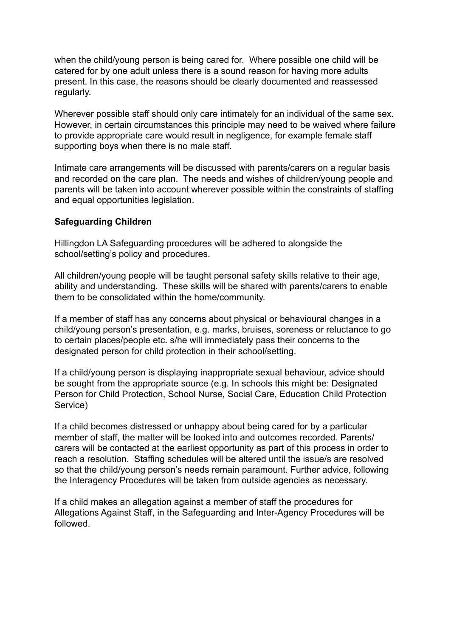when the child/young person is being cared for. Where possible one child will be catered for by one adult unless there is a sound reason for having more adults present. In this case, the reasons should be clearly documented and reassessed regularly.

Wherever possible staff should only care intimately for an individual of the same sex. However, in certain circumstances this principle may need to be waived where failure to provide appropriate care would result in negligence, for example female staff supporting boys when there is no male staff.

Intimate care arrangements will be discussed with parents/carers on a regular basis and recorded on the care plan. The needs and wishes of children/young people and parents will be taken into account wherever possible within the constraints of staffing and equal opportunities legislation.

#### **Safeguarding Children**

Hillingdon LA Safeguarding procedures will be adhered to alongside the school/setting's policy and procedures.

All children/young people will be taught personal safety skills relative to their age, ability and understanding. These skills will be shared with parents/carers to enable them to be consolidated within the home/community.

If a member of staff has any concerns about physical or behavioural changes in a child/young person's presentation, e.g. marks, bruises, soreness or reluctance to go to certain places/people etc. s/he will immediately pass their concerns to the designated person for child protection in their school/setting.

If a child/young person is displaying inappropriate sexual behaviour, advice should be sought from the appropriate source (e.g. In schools this might be: Designated Person for Child Protection, School Nurse, Social Care, Education Child Protection Service)

If a child becomes distressed or unhappy about being cared for by a particular member of staff, the matter will be looked into and outcomes recorded. Parents/ carers will be contacted at the earliest opportunity as part of this process in order to reach a resolution. Staffing schedules will be altered until the issue/s are resolved so that the child/young person's needs remain paramount. Further advice, following the Interagency Procedures will be taken from outside agencies as necessary.

If a child makes an allegation against a member of staff the procedures for Allegations Against Staff, in the Safeguarding and Inter-Agency Procedures will be followed.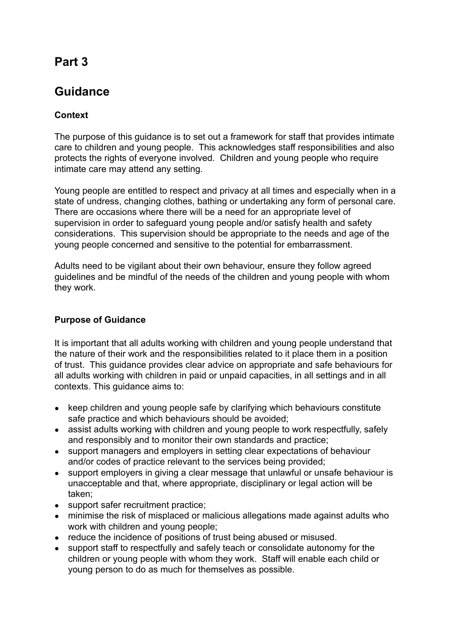# **Part 3**

# **Guidance**

# **Context**

The purpose of this guidance is to set out a framework for staff that provides intimate care to children and young people. This acknowledges staff responsibilities and also protects the rights of everyone involved. Children and young people who require intimate care may attend any setting.

Young people are entitled to respect and privacy at all times and especially when in a state of undress, changing clothes, bathing or undertaking any form of personal care. There are occasions where there will be a need for an appropriate level of supervision in order to safeguard young people and/or satisfy health and safety considerations. This supervision should be appropriate to the needs and age of the young people concerned and sensitive to the potential for embarrassment.

Adults need to be vigilant about their own behaviour, ensure they follow agreed guidelines and be mindful of the needs of the children and young people with whom they work.

# **Purpose of Guidance**

It is important that all adults working with children and young people understand that the nature of their work and the responsibilities related to it place them in a position of trust. This guidance provides clear advice on appropriate and safe behaviours for all adults working with children in paid or unpaid capacities, in all settings and in all contexts. This guidance aims to:

- keep children and young people safe by clarifying which behaviours constitute safe practice and which behaviours should be avoided;
- assist adults working with children and young people to work respectfully, safely and responsibly and to monitor their own standards and practice;
- support managers and employers in setting clear expectations of behaviour and/or codes of practice relevant to the services being provided;
- support employers in giving a clear message that unlawful or unsafe behaviour is unacceptable and that, where appropriate, disciplinary or legal action will be taken;
- support safer recruitment practice;
- minimise the risk of misplaced or malicious allegations made against adults who work with children and young people;
- reduce the incidence of positions of trust being abused or misused.
- support staff to respectfully and safely teach or consolidate autonomy for the children or young people with whom they work. Staff will enable each child or young person to do as much for themselves as possible.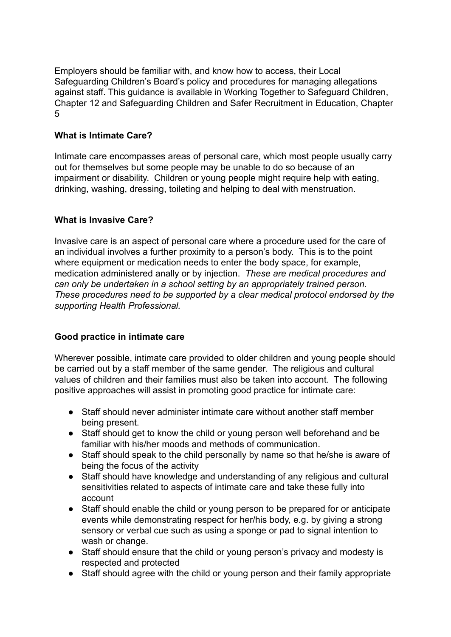Employers should be familiar with, and know how to access, their Local Safeguarding Children's Board's policy and procedures for managing allegations against staff. This guidance is available in Working Together to Safeguard Children, Chapter 12 and Safeguarding Children and Safer Recruitment in Education, Chapter 5

## **What is Intimate Care?**

Intimate care encompasses areas of personal care, which most people usually carry out for themselves but some people may be unable to do so because of an impairment or disability. Children or young people might require help with eating. drinking, washing, dressing, toileting and helping to deal with menstruation.

#### **What is Invasive Care?**

Invasive care is an aspect of personal care where a procedure used for the care of an individual involves a further proximity to a person's body. This is to the point where equipment or medication needs to enter the body space, for example, medication administered anally or by injection. *These are medical procedures and can only be undertaken in a school setting by an appropriately trained person. These procedures need to be supported by a clear medical protocol endorsed by the supporting Health Professional.*

#### **Good practice in intimate care**

Wherever possible, intimate care provided to older children and young people should be carried out by a staff member of the same gender. The religious and cultural values of children and their families must also be taken into account. The following positive approaches will assist in promoting good practice for intimate care:

- Staff should never administer intimate care without another staff member being present.
- Staff should get to know the child or young person well beforehand and be familiar with his/her moods and methods of communication.
- Staff should speak to the child personally by name so that he/she is aware of being the focus of the activity
- Staff should have knowledge and understanding of any religious and cultural sensitivities related to aspects of intimate care and take these fully into account
- Staff should enable the child or young person to be prepared for or anticipate events while demonstrating respect for her/his body, e.g. by giving a strong sensory or verbal cue such as using a sponge or pad to signal intention to wash or change.
- Staff should ensure that the child or young person's privacy and modesty is respected and protected
- Staff should agree with the child or young person and their family appropriate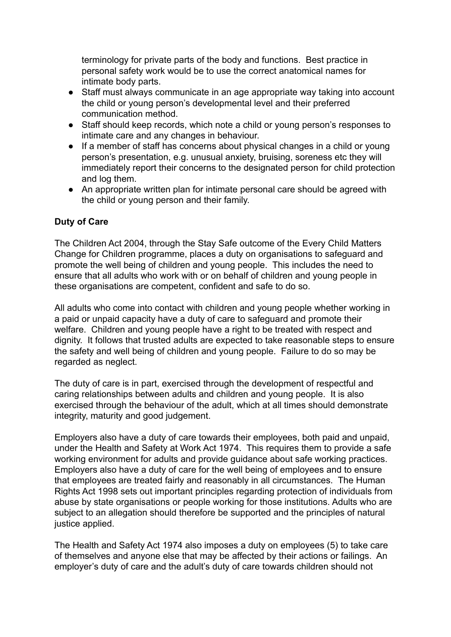terminology for private parts of the body and functions. Best practice in personal safety work would be to use the correct anatomical names for intimate body parts.

- Staff must always communicate in an age appropriate way taking into account the child or young person's developmental level and their preferred communication method.
- Staff should keep records, which note a child or young person's responses to intimate care and any changes in behaviour.
- If a member of staff has concerns about physical changes in a child or young person's presentation, e.g. unusual anxiety, bruising, soreness etc they will immediately report their concerns to the designated person for child protection and log them.
- An appropriate written plan for intimate personal care should be agreed with the child or young person and their family.

## **Duty of Care**

The Children Act 2004, through the Stay Safe outcome of the Every Child Matters Change for Children programme, places a duty on organisations to safeguard and promote the well being of children and young people. This includes the need to ensure that all adults who work with or on behalf of children and young people in these organisations are competent, confident and safe to do so.

All adults who come into contact with children and young people whether working in a paid or unpaid capacity have a duty of care to safeguard and promote their welfare. Children and young people have a right to be treated with respect and dignity. It follows that trusted adults are expected to take reasonable steps to ensure the safety and well being of children and young people. Failure to do so may be regarded as neglect.

The duty of care is in part, exercised through the development of respectful and caring relationships between adults and children and young people. It is also exercised through the behaviour of the adult, which at all times should demonstrate integrity, maturity and good judgement.

Employers also have a duty of care towards their employees, both paid and unpaid, under the Health and Safety at Work Act 1974. This requires them to provide a safe working environment for adults and provide guidance about safe working practices. Employers also have a duty of care for the well being of employees and to ensure that employees are treated fairly and reasonably in all circumstances. The Human Rights Act 1998 sets out important principles regarding protection of individuals from abuse by state organisations or people working for those institutions. Adults who are subject to an allegation should therefore be supported and the principles of natural justice applied.

The Health and Safety Act 1974 also imposes a duty on employees (5) to take care of themselves and anyone else that may be affected by their actions or failings. An employer's duty of care and the adult's duty of care towards children should not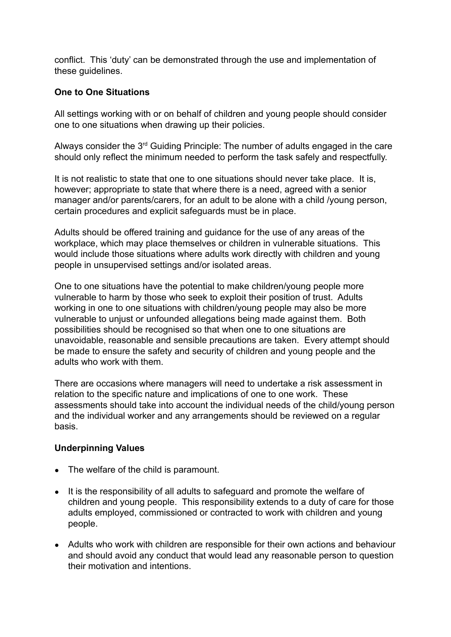conflict. This 'duty' can be demonstrated through the use and implementation of these guidelines.

#### **One to One Situations**

All settings working with or on behalf of children and young people should consider one to one situations when drawing up their policies.

Always consider the  $3<sup>rd</sup>$  Guiding Principle: The number of adults engaged in the care should only reflect the minimum needed to perform the task safely and respectfully.

It is not realistic to state that one to one situations should never take place. It is, however; appropriate to state that where there is a need, agreed with a senior manager and/or parents/carers, for an adult to be alone with a child /young person, certain procedures and explicit safeguards must be in place.

Adults should be offered training and guidance for the use of any areas of the workplace, which may place themselves or children in vulnerable situations. This would include those situations where adults work directly with children and young people in unsupervised settings and/or isolated areas.

One to one situations have the potential to make children/young people more vulnerable to harm by those who seek to exploit their position of trust. Adults working in one to one situations with children/young people may also be more vulnerable to unjust or unfounded allegations being made against them. Both possibilities should be recognised so that when one to one situations are unavoidable, reasonable and sensible precautions are taken. Every attempt should be made to ensure the safety and security of children and young people and the adults who work with them.

There are occasions where managers will need to undertake a risk assessment in relation to the specific nature and implications of one to one work. These assessments should take into account the individual needs of the child/young person and the individual worker and any arrangements should be reviewed on a regular basis.

#### **Underpinning Values**

- The welfare of the child is paramount.
- It is the responsibility of all adults to safeguard and promote the welfare of children and young people. This responsibility extends to a duty of care for those adults employed, commissioned or contracted to work with children and young people.
- Adults who work with children are responsible for their own actions and behaviour and should avoid any conduct that would lead any reasonable person to question their motivation and intentions.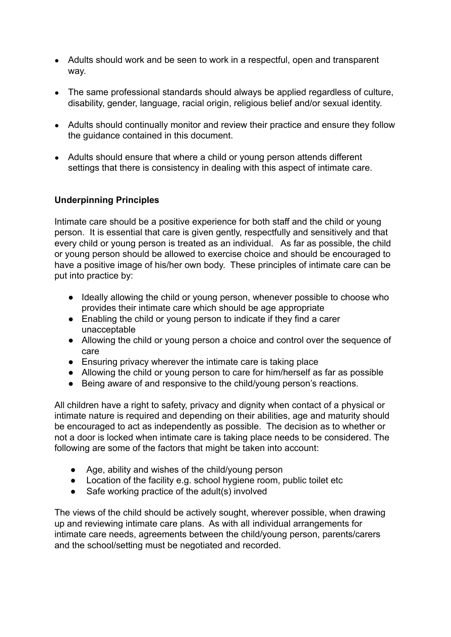- Adults should work and be seen to work in a respectful, open and transparent way.
- The same professional standards should always be applied regardless of culture, disability, gender, language, racial origin, religious belief and/or sexual identity.
- Adults should continually monitor and review their practice and ensure they follow the guidance contained in this document.
- Adults should ensure that where a child or young person attends different settings that there is consistency in dealing with this aspect of intimate care.

## **Underpinning Principles**

Intimate care should be a positive experience for both staff and the child or young person. It is essential that care is given gently, respectfully and sensitively and that every child or young person is treated as an individual. As far as possible, the child or young person should be allowed to exercise choice and should be encouraged to have a positive image of his/her own body. These principles of intimate care can be put into practice by:

- Ideally allowing the child or young person, whenever possible to choose who provides their intimate care which should be age appropriate
- Enabling the child or young person to indicate if they find a carer unacceptable
- Allowing the child or young person a choice and control over the sequence of care
- Ensuring privacy wherever the intimate care is taking place
- Allowing the child or young person to care for him/herself as far as possible
- Being aware of and responsive to the child/young person's reactions.

All children have a right to safety, privacy and dignity when contact of a physical or intimate nature is required and depending on their abilities, age and maturity should be encouraged to act as independently as possible. The decision as to whether or not a door is locked when intimate care is taking place needs to be considered. The following are some of the factors that might be taken into account:

- Age, ability and wishes of the child/young person
- Location of the facility e.g. school hygiene room, public toilet etc
- Safe working practice of the adult(s) involved

The views of the child should be actively sought, wherever possible, when drawing up and reviewing intimate care plans. As with all individual arrangements for intimate care needs, agreements between the child/young person, parents/carers and the school/setting must be negotiated and recorded.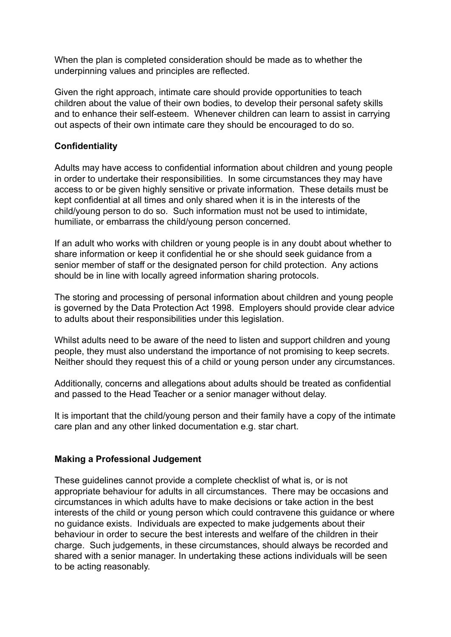When the plan is completed consideration should be made as to whether the underpinning values and principles are reflected.

Given the right approach, intimate care should provide opportunities to teach children about the value of their own bodies, to develop their personal safety skills and to enhance their self-esteem. Whenever children can learn to assist in carrying out aspects of their own intimate care they should be encouraged to do so.

#### **Confidentiality**

Adults may have access to confidential information about children and young people in order to undertake their responsibilities. In some circumstances they may have access to or be given highly sensitive or private information. These details must be kept confidential at all times and only shared when it is in the interests of the child/young person to do so. Such information must not be used to intimidate, humiliate, or embarrass the child/young person concerned.

If an adult who works with children or young people is in any doubt about whether to share information or keep it confidential he or she should seek guidance from a senior member of staff or the designated person for child protection. Any actions should be in line with locally agreed information sharing protocols.

The storing and processing of personal information about children and young people is governed by the Data Protection Act 1998. Employers should provide clear advice to adults about their responsibilities under this legislation.

Whilst adults need to be aware of the need to listen and support children and young people, they must also understand the importance of not promising to keep secrets. Neither should they request this of a child or young person under any circumstances.

Additionally, concerns and allegations about adults should be treated as confidential and passed to the Head Teacher or a senior manager without delay.

It is important that the child/young person and their family have a copy of the intimate care plan and any other linked documentation e.g. star chart.

#### **Making a Professional Judgement**

These guidelines cannot provide a complete checklist of what is, or is not appropriate behaviour for adults in all circumstances. There may be occasions and circumstances in which adults have to make decisions or take action in the best interests of the child or young person which could contravene this guidance or where no guidance exists. Individuals are expected to make judgements about their behaviour in order to secure the best interests and welfare of the children in their charge. Such judgements, in these circumstances, should always be recorded and shared with a senior manager. In undertaking these actions individuals will be seen to be acting reasonably.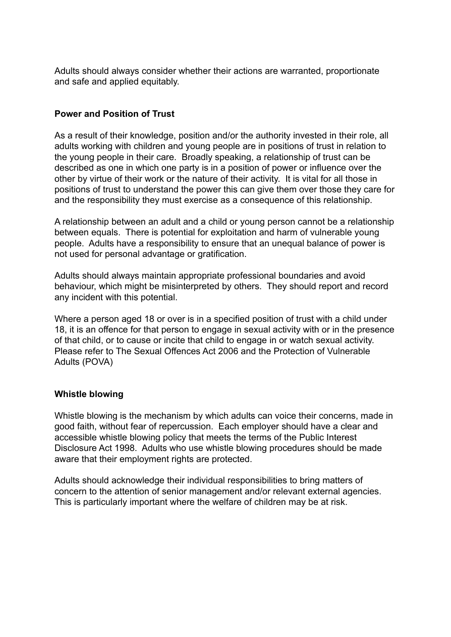Adults should always consider whether their actions are warranted, proportionate and safe and applied equitably.

## **Power and Position of Trust**

As a result of their knowledge, position and/or the authority invested in their role, all adults working with children and young people are in positions of trust in relation to the young people in their care. Broadly speaking, a relationship of trust can be described as one in which one party is in a position of power or influence over the other by virtue of their work or the nature of their activity. It is vital for all those in positions of trust to understand the power this can give them over those they care for and the responsibility they must exercise as a consequence of this relationship.

A relationship between an adult and a child or young person cannot be a relationship between equals. There is potential for exploitation and harm of vulnerable young people. Adults have a responsibility to ensure that an unequal balance of power is not used for personal advantage or gratification.

Adults should always maintain appropriate professional boundaries and avoid behaviour, which might be misinterpreted by others. They should report and record any incident with this potential.

Where a person aged 18 or over is in a specified position of trust with a child under 18, it is an offence for that person to engage in sexual activity with or in the presence of that child, or to cause or incite that child to engage in or watch sexual activity. Please refer to The Sexual Offences Act 2006 and the Protection of Vulnerable Adults (POVA)

## **Whistle blowing**

Whistle blowing is the mechanism by which adults can voice their concerns, made in good faith, without fear of repercussion. Each employer should have a clear and accessible whistle blowing policy that meets the terms of the Public Interest Disclosure Act 1998. Adults who use whistle blowing procedures should be made aware that their employment rights are protected.

Adults should acknowledge their individual responsibilities to bring matters of concern to the attention of senior management and/or relevant external agencies. This is particularly important where the welfare of children may be at risk.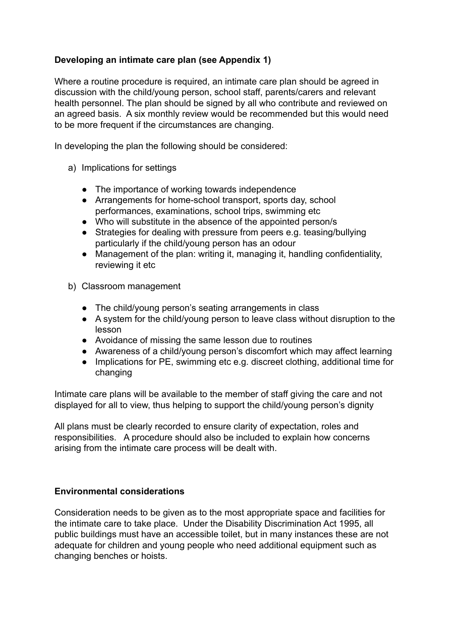## **Developing an intimate care plan (see Appendix 1)**

Where a routine procedure is required, an intimate care plan should be agreed in discussion with the child/young person, school staff, parents/carers and relevant health personnel. The plan should be signed by all who contribute and reviewed on an agreed basis. A six monthly review would be recommended but this would need to be more frequent if the circumstances are changing.

In developing the plan the following should be considered:

- a) Implications for settings
	- The importance of working towards independence
	- Arrangements for home-school transport, sports day, school performances, examinations, school trips, swimming etc
	- Who will substitute in the absence of the appointed person/s
	- Strategies for dealing with pressure from peers e.g. teasing/bullying particularly if the child/young person has an odour
	- Management of the plan: writing it, managing it, handling confidentiality, reviewing it etc
- b) Classroom management
	- The child/young person's seating arrangements in class
	- A system for the child/young person to leave class without disruption to the lesson
	- Avoidance of missing the same lesson due to routines
	- Awareness of a child/young person's discomfort which may affect learning
	- Implications for PE, swimming etc e.g. discreet clothing, additional time for changing

Intimate care plans will be available to the member of staff giving the care and not displayed for all to view, thus helping to support the child/young person's dignity

All plans must be clearly recorded to ensure clarity of expectation, roles and responsibilities. A procedure should also be included to explain how concerns arising from the intimate care process will be dealt with.

## **Environmental considerations**

Consideration needs to be given as to the most appropriate space and facilities for the intimate care to take place. Under the Disability Discrimination Act 1995, all public buildings must have an accessible toilet, but in many instances these are not adequate for children and young people who need additional equipment such as changing benches or hoists.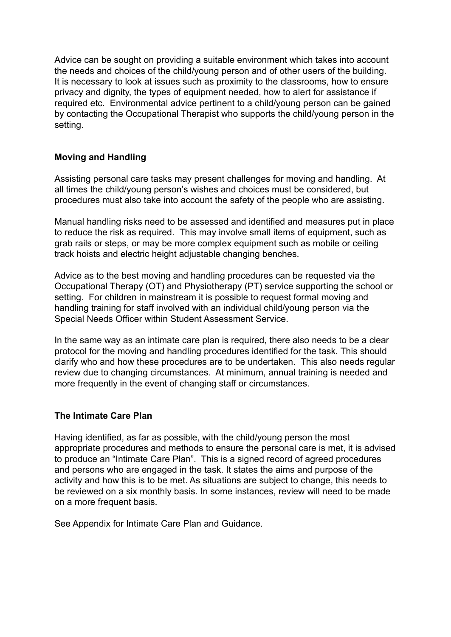Advice can be sought on providing a suitable environment which takes into account the needs and choices of the child/young person and of other users of the building. It is necessary to look at issues such as proximity to the classrooms, how to ensure privacy and dignity, the types of equipment needed, how to alert for assistance if required etc. Environmental advice pertinent to a child/young person can be gained by contacting the Occupational Therapist who supports the child/young person in the setting.

#### **Moving and Handling**

Assisting personal care tasks may present challenges for moving and handling. At all times the child/young person's wishes and choices must be considered, but procedures must also take into account the safety of the people who are assisting.

Manual handling risks need to be assessed and identified and measures put in place to reduce the risk as required. This may involve small items of equipment, such as grab rails or steps, or may be more complex equipment such as mobile or ceiling track hoists and electric height adjustable changing benches.

Advice as to the best moving and handling procedures can be requested via the Occupational Therapy (OT) and Physiotherapy (PT) service supporting the school or setting. For children in mainstream it is possible to request formal moving and handling training for staff involved with an individual child/young person via the Special Needs Officer within Student Assessment Service.

In the same way as an intimate care plan is required, there also needs to be a clear protocol for the moving and handling procedures identified for the task. This should clarify who and how these procedures are to be undertaken. This also needs regular review due to changing circumstances. At minimum, annual training is needed and more frequently in the event of changing staff or circumstances.

#### **The Intimate Care Plan**

Having identified, as far as possible, with the child/young person the most appropriate procedures and methods to ensure the personal care is met, it is advised to produce an "Intimate Care Plan". This is a signed record of agreed procedures and persons who are engaged in the task. It states the aims and purpose of the activity and how this is to be met. As situations are subject to change, this needs to be reviewed on a six monthly basis. In some instances, review will need to be made on a more frequent basis.

See Appendix for Intimate Care Plan and Guidance.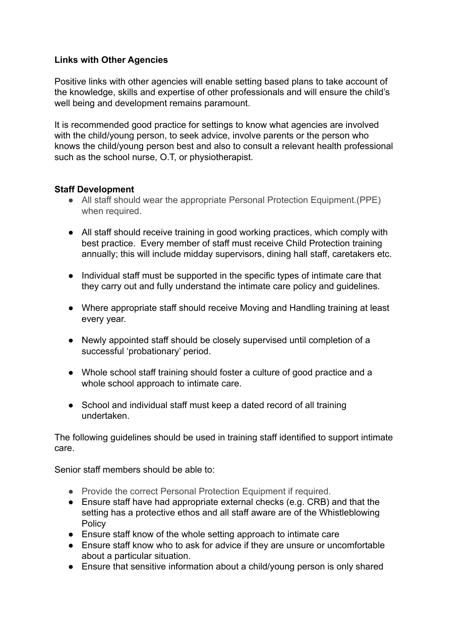## **Links with Other Agencies**

Positive links with other agencies will enable setting based plans to take account of the knowledge, skills and expertise of other professionals and will ensure the child's well being and development remains paramount.

It is recommended good practice for settings to know what agencies are involved with the child/young person, to seek advice, involve parents or the person who knows the child/young person best and also to consult a relevant health professional such as the school nurse, O.T, or physiotherapist.

## **Staff Development**

- All staff should wear the appropriate Personal Protection Equipment.(PPE) when required.
- All staff should receive training in good working practices, which comply with best practice. Every member of staff must receive Child Protection training annually; this will include midday supervisors, dining hall staff, caretakers etc.
- Individual staff must be supported in the specific types of intimate care that they carry out and fully understand the intimate care policy and guidelines.
- Where appropriate staff should receive Moving and Handling training at least every year.
- Newly appointed staff should be closely supervised until completion of a successful 'probationary' period.
- Whole school staff training should foster a culture of good practice and a whole school approach to intimate care.
- School and individual staff must keep a dated record of all training undertaken.

The following guidelines should be used in training staff identified to support intimate care.

Senior staff members should be able to:

- Provide the correct Personal Protection Equipment if required.
- Ensure staff have had appropriate external checks (e.g. CRB) and that the setting has a protective ethos and all staff aware are of the Whistleblowing Policy
- Ensure staff know of the whole setting approach to intimate care
- Ensure staff know who to ask for advice if they are unsure or uncomfortable about a particular situation.
- Ensure that sensitive information about a child/young person is only shared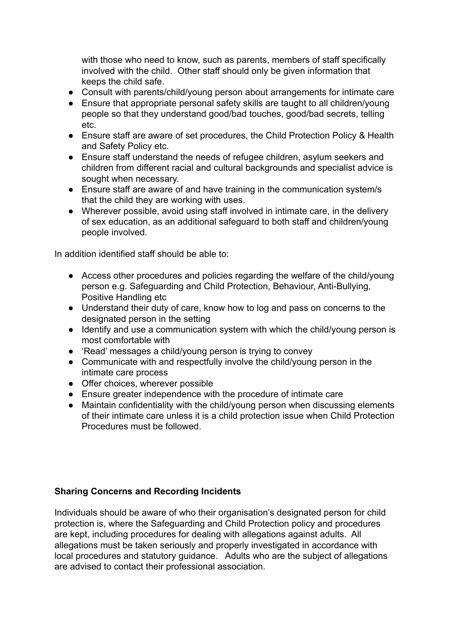with those who need to know, such as parents, members of staff specifically involved with the child. Other staff should only be given information that keeps the child safe.

- Consult with parents/child/young person about arrangements for intimate care
- Ensure that appropriate personal safety skills are taught to all children/young people so that they understand good/bad touches, good/bad secrets, telling etc.
- Ensure staff are aware of set procedures, the Child Protection Policy & Health and Safety Policy etc.
- Ensure staff understand the needs of refugee children, asylum seekers and children from different racial and cultural backgrounds and specialist advice is sought when necessary.
- Ensure staff are aware of and have training in the communication system/s that the child they are working with uses.
- Wherever possible, avoid using staff involved in intimate care, in the delivery of sex education, as an additional safeguard to both staff and children/young people involved.

In addition identified staff should be able to:

- Access other procedures and policies regarding the welfare of the child/young person e.g. Safeguarding and Child Protection, Behaviour, Anti-Bullying, Positive Handling etc
- Understand their duty of care, know how to log and pass on concerns to the designated person in the setting
- Identify and use a communication system with which the child/young person is most comfortable with
- 'Read' messages a child/young person is trying to convey
- Communicate with and respectfully involve the child/young person in the intimate care process
- Offer choices, wherever possible
- Ensure greater independence with the procedure of intimate care
- Maintain confidentiality with the child/young person when discussing elements of their intimate care unless it is a child protection issue when Child Protection Procedures must be followed.

## **Sharing Concerns and Recording Incidents**

Individuals should be aware of who their organisation's designated person for child protection is, where the Safeguarding and Child Protection policy and procedures are kept, including procedures for dealing with allegations against adults. All allegations must be taken seriously and properly investigated in accordance with local procedures and statutory guidance. Adults who are the subject of allegations are advised to contact their professional association.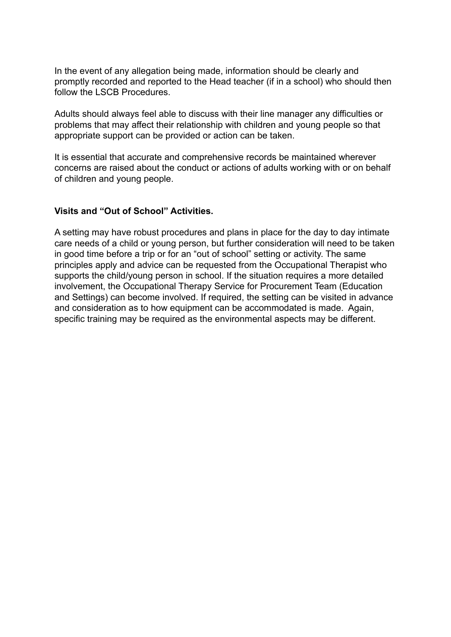In the event of any allegation being made, information should be clearly and promptly recorded and reported to the Head teacher (if in a school) who should then follow the LSCB Procedures.

Adults should always feel able to discuss with their line manager any difficulties or problems that may affect their relationship with children and young people so that appropriate support can be provided or action can be taken.

It is essential that accurate and comprehensive records be maintained wherever concerns are raised about the conduct or actions of adults working with or on behalf of children and young people.

#### **Visits and "Out of School" Activities.**

A setting may have robust procedures and plans in place for the day to day intimate care needs of a child or young person, but further consideration will need to be taken in good time before a trip or for an "out of school" setting or activity. The same principles apply and advice can be requested from the Occupational Therapist who supports the child/young person in school. If the situation requires a more detailed involvement, the Occupational Therapy Service for Procurement Team (Education and Settings) can become involved. If required, the setting can be visited in advance and consideration as to how equipment can be accommodated is made. Again, specific training may be required as the environmental aspects may be different.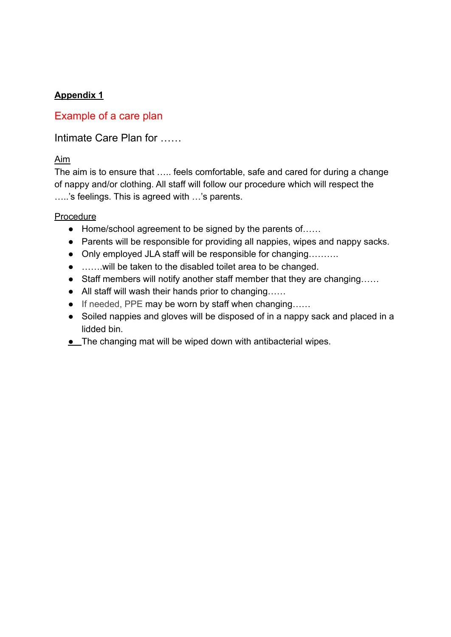# **Appendix 1**

# Example of a care plan

Intimate Care Plan for ……

# Aim

The aim is to ensure that ….. feels comfortable, safe and cared for during a change of nappy and/or clothing. All staff will follow our procedure which will respect the …..'s feelings. This is agreed with …'s parents.

## Procedure

- Home/school agreement to be signed by the parents of……
- Parents will be responsible for providing all nappies, wipes and nappy sacks.
- Only employed JLA staff will be responsible for changing.........
- …….will be taken to the disabled toilet area to be changed.
- Staff members will notify another staff member that they are changing……
- All staff will wash their hands prior to changing……
- If needed, PPE may be worn by staff when changing......
- Soiled nappies and gloves will be disposed of in a nappy sack and placed in a lidded bin.
- **.** The changing mat will be wiped down with antibacterial wipes.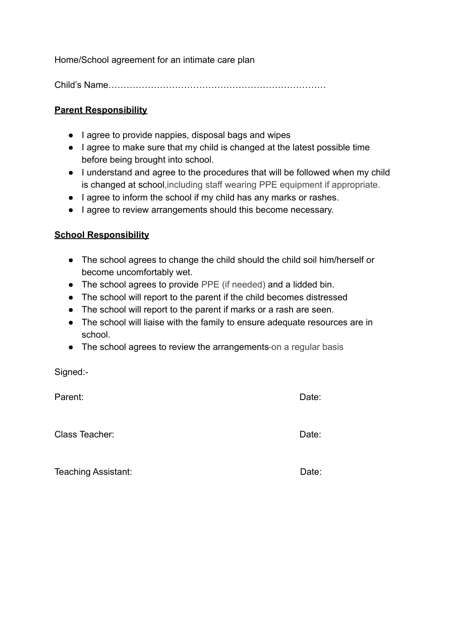Home/School agreement for an intimate care plan

Child's Name………………………………………………………………

#### **Parent Responsibility**

- I agree to provide nappies, disposal bags and wipes
- I agree to make sure that my child is changed at the latest possible time before being brought into school.
- I understand and agree to the procedures that will be followed when my child is changed at school,including staff wearing PPE equipment if appropriate.
- I agree to inform the school if my child has any marks or rashes.
- I agree to review arrangements should this become necessary.

#### **School Responsibility**

- The school agrees to change the child should the child soil him/herself or become uncomfortably wet.
- The school agrees to provide PPE (if needed) and a lidded bin.
- The school will report to the parent if the child becomes distressed
- The school will report to the parent if marks or a rash are seen.
- The school will liaise with the family to ensure adequate resources are in school.
- The school agrees to review the arrangements-on a regular basis

Signed:-

Parent: Date:

Class Teacher: **Date:** Date: **Date:** Date: **Date: Date: Date: Date: Date: Date: Date: Date: Date: Date: Date: Date: Date: Date: Date: Date: Date: Date: Date: Date: Date: Date: Da** 

Teaching Assistant: Date: Date: Date: Date: Date: Date: Date: Date: Date: Date: Date: Date: Date: Date: Date: Date: Date: Date: Date: Date: Date: Date: Date: Date: Date: Date: Date: Date: Date: Date: Date: Date: Date: Date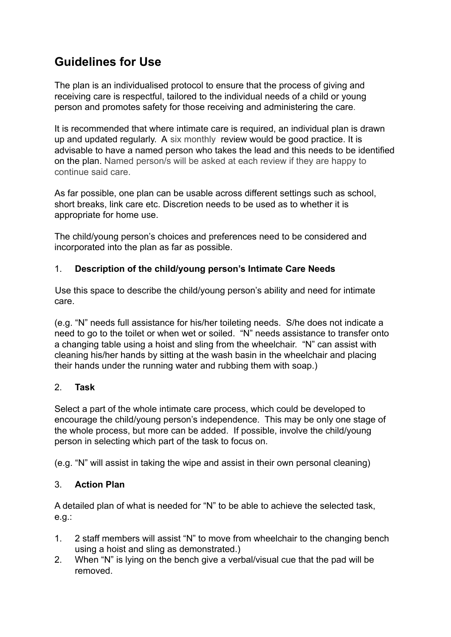# **Guidelines for Use**

The plan is an individualised protocol to ensure that the process of giving and receiving care is respectful, tailored to the individual needs of a child or young person and promotes safety for those receiving and administering the care.

It is recommended that where intimate care is required, an individual plan is drawn up and updated regularly. A six monthly review would be good practice. It is advisable to have a named person who takes the lead and this needs to be identified on the plan. Named person/s will be asked at each review if they are happy to continue said care.

As far possible, one plan can be usable across different settings such as school, short breaks, link care etc. Discretion needs to be used as to whether it is appropriate for home use.

The child/young person's choices and preferences need to be considered and incorporated into the plan as far as possible.

## 1. **Description of the child/young person's Intimate Care Needs**

Use this space to describe the child/young person's ability and need for intimate care.

(e.g. "N" needs full assistance for his/her toileting needs. S/he does not indicate a need to go to the toilet or when wet or soiled. "N" needs assistance to transfer onto a changing table using a hoist and sling from the wheelchair. "N" can assist with cleaning his/her hands by sitting at the wash basin in the wheelchair and placing their hands under the running water and rubbing them with soap.)

## 2. **Task**

Select a part of the whole intimate care process, which could be developed to encourage the child/young person's independence. This may be only one stage of the whole process, but more can be added. If possible, involve the child/young person in selecting which part of the task to focus on.

(e.g. "N" will assist in taking the wipe and assist in their own personal cleaning)

## 3. **Action Plan**

A detailed plan of what is needed for "N" to be able to achieve the selected task, e.g.:

- 1. 2 staff members will assist "N" to move from wheelchair to the changing bench using a hoist and sling as demonstrated.)
- 2. When "N" is lying on the bench give a verbal/visual cue that the pad will be removed.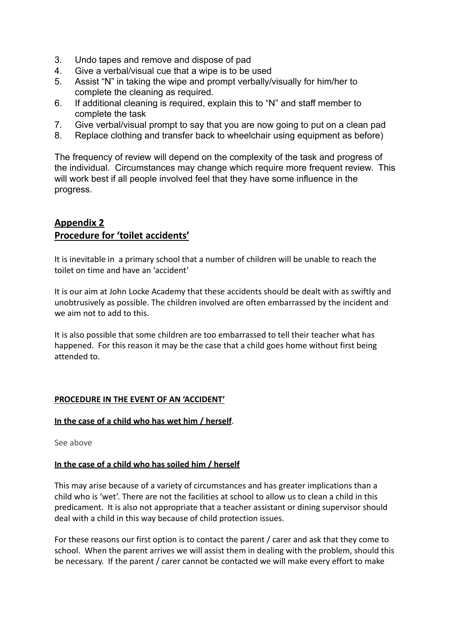- 3. Undo tapes and remove and dispose of pad
- 4. Give a verbal/visual cue that a wipe is to be used
- 5. Assist "N" in taking the wipe and prompt verbally/visually for him/her to complete the cleaning as required.
- 6. If additional cleaning is required, explain this to "N" and staff member to complete the task
- 7. Give verbal/visual prompt to say that you are now going to put on a clean pad
- 8. Replace clothing and transfer back to wheelchair using equipment as before)

The frequency of review will depend on the complexity of the task and progress of the individual. Circumstances may change which require more frequent review. This will work best if all people involved feel that they have some influence in the progress.

#### **Appendix 2 Procedure for 'toilet accidents'**

It is inevitable in a primary school that a number of children will be unable to reach the toilet on time and have an 'accident'

It is our aim at John Locke Academy that these accidents should be dealt with as swiftly and unobtrusively as possible. The children involved are often embarrassed by the incident and we aim not to add to this.

It is also possible that some children are too embarrassed to tell their teacher what has happened. For this reason it may be the case that a child goes home without first being attended to.

#### **PROCEDURE IN THE EVENT OF AN 'ACCIDENT'**

#### **In the case of a child who has wet him / herself**.

See above

#### **In the case of a child who has soiled him / herself**

This may arise because of a variety of circumstances and has greater implications than a child who is 'wet'. There are not the facilities at school to allow us to clean a child in this predicament. It is also not appropriate that a teacher assistant or dining supervisor should deal with a child in this way because of child protection issues.

For these reasons our first option is to contact the parent / carer and ask that they come to school. When the parent arrives we will assist them in dealing with the problem, should this be necessary. If the parent / carer cannot be contacted we will make every effort to make